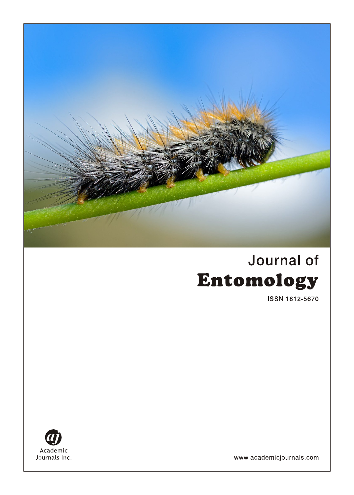

# Journal of Entomology

**ISSN 1812-5670** 



www.academicjournals.com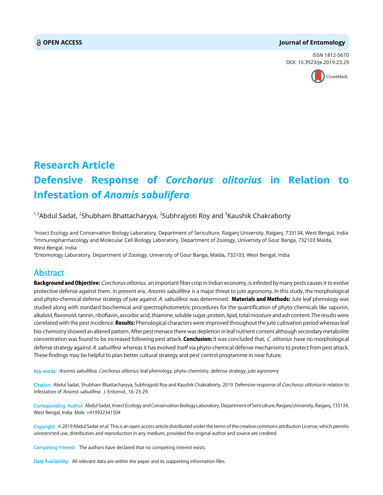#### **OPEN ACCESS Journal of Entomology**

ISSN 1812-5670 DOI: 10.3923/je.2019.23.29



## **Research Article Defensive Response of** *Corchorus olitorius* **in Relation to Infestation of** *Anomis sabulifera*

#### <sup>1,3</sup>Abdul Sadat, <sup>2</sup>Shubham Bhattacharyya, <sup>2</sup>Subhrajyoti Roy and <sup>3</sup>Kaushik Chakraborty

1 Insect Ecology and Conservation Biology Laboratory, Department of Sericulture, Raiganj University, Raiganj, 733134, West Bengal, India 2 Immunopharmacology and Molecular Cell Biology Laboratory, Department of Zoology, University of Gour Banga, 732103 Malda, West Bengal, India

 $^3$ Entomology Laboratory, Department of Zoology, University of Gour Banga, Malda, 732103, West Bengal, India

### Abstract

**Background and Objective:** Corchorus olitorius, an important fiber crop in Indian economy, is infested by many pests causes it to evolve protective defense against them. In present era, Anomis sabulifera is a major threat to jute agronomy. In this study, the morphological and phyto-chemical defense strategy of jute against A. sabulifera was determined. Materials and Methods: Jute leaf phenology was studied along with standard biochemical and spectrophotometric procedures for the quantification of phyto-chemicals like saponin, alkaloid, flavonoid, tannin, riboflavin, ascorbic acid, thiamine, soluble sugar, protein, lipid, total moisture and ash content. The results were correlated with the pest incidence. Results: Phenological characters were improved throughout the jute cultivation period whereas leaf bio-chemistry showed an altered pattern. After pest menace there was depletion in leaf nutrient content although secondary metabolite concentration was found to be increased following pest attack. Conclusion: It was concluded that, C. olitorius have no morphological defense strategy against A. sabulifera whereas it has evolved itself via phyto-chemical defense mechanisms to protect from pest attack. These findings may be helpful to plan better cultural strategy and pest control programme in near future.

Key words: Anomis sabulifera, Corchorus olitorius, leaf phenology, phyto-chemistry, defense strategy, jute agronomy

Citation: Abdul Sadat, Shubham Bhattacharyya, Subhrajyoti Roy and Kaushik Chakraborty, 2019. Defensive response of Corchorus olitorius in relation to infestation of Anomis sabulifera . J. Entomol., 16: 23-29.

Corresponding Author: Abdul Sadat, Insect Ecology and Conservation Biology Laboratory, Department of Sericulture, Raiganj University, Raiganj, 733134, West Bengal, India Mob: +919932341504

Copyright: © 2019 Abdul Sadat et al. This is an open access article distributed under the terms of the creative commons attribution License, which permits unrestricted use, distribution and reproduction in any medium, provided the original author and source are credited.

Competing Interest: The authors have declared that no competing interest exists.

Data Availability: All relevant data are within the paper and its supporting information files.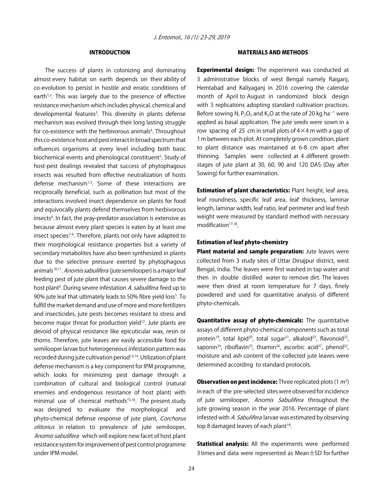#### INTRODUCTION

The success of plants in colonizing and dominating almost every habitat on earth depends on their ability of co-evolution to persist in hostile and erratic conditions of earth $1,2$ . This was largely due to the presence of effective resistance mechanism which includes physical, chemical and developmental features<sup>3</sup>. This diversity in plants defense mechanism was evolved through their long lasting struggle for co-existence with the herbivorous animals<sup>4</sup>. Throughout this co-existence host and pest interact in broad spectrum that influences organisms at every level including both basic biochemical events and phenological constituent<sup>5</sup>. Study of host-pest dealings revealed that success of phytophagous insects was resulted from effective neutralization of hosts defense mechanism<sup>1,3</sup>. Some of these interactions are reciprocally beneficial, such as pollination but most of the interactions involved insect dependence on plants for food and equivocally plants defend themselves from herbivorous insects<sup>6</sup>. In fact, the pray-predator association is extensive as because almost every plant species is eaten by at least one insect species<sup>7-9</sup>. Therefore, plants not only have adapted to their morphological resistance properties but a variety of secondary metabolites have also been synthesized in plants due to the selective pressure exerted by phytophagous animals<sup>10,11</sup>. Anomis sabulifera (jute semilooper) is a major leaf feeding pest of jute plant that causes severe damage to the host plant<sup>4</sup>. During severe infestation *A. sabulifera* feed up to 90% jute leaf that ultimately leads to 50% fibre yield loss<sup>5</sup>. To fulfill the market demand and use of more and more fertilizers and insecticides, jute pests becomes resistant to stress and become major threat for production yield<sup>12</sup>. Jute plants are devoid of physical resistance like epicuticular wax, resin or thorns. Therefore, jute leaves are easily accessible food for semilooper larvae but heterogeneous infestation pattern was recorded during jute cultivation period<sup>13,14</sup>. Utilization of plant defense mechanism is a key component for IPM programme, which looks for minimizing pest damage through a combination of cultural and biological control (natural enemies and endogenous resistance of host plant) with minimal use of chemical methods<sup>15,16</sup>. The present study was designed to evaluate the morphological and phyto-chemical defense response of jute plant, Corchorus olitorius in relation to prevalence of jute semilooper, Anomis sabulifera which will explore new facet of host plant resistance system for improvement of pest control programme under IPM model.

#### MATERIALS AND METHODS

**Experimental design:** The experiment was conducted at 3 administrative blocks of west Bengal namely Raiganj, Hemtabad and Kaliyaganj in 2016 covering the calendar month of April to August in randomized block design with 3 replications adopting standard cultivation practices. Before sowing N, P<sub>2</sub>O<sub>5</sub> and K<sub>2</sub>O at the rate of 20 kg ha<sup>-1</sup> were applied as basal application. The jute seeds were sown in a row spacing of 25 cm in small plots of  $4 \times 4$  m with a gap of 1 m between each plot. At completely grown condition, plant to plant distance was maintained at 6-8 cm apart after thinning. Samples were collected at 4 different growth stages of jute plant at 30, 60, 90 and 120 DAS (Day after Sowing) for further examination.

**Estimation of plant characteristics: Plant height, leaf area,** leaf roundness, specific leaf area, leaf thickness, laminar length, laminar width, leaf ratio, leaf perimeter and leaf fresh weight were measured by standard method with necessary modification $17,18$ .

#### Estimation of leaf phyto-chemistry

Plant material and sample preparation: Jute leaves were collected from 3 study sites of Uttar Dinajpur district, west Bengal, India. The leaves were first washed in tap water and then in double distilled water to remove dirt. The leaves were then dried at room temperature for 7 days, finely powdered and used for quantitative analysis of different phyto-chemicals.

Quantitative assay of phyto-chemicals: The quantitative assays of different phyto-chemical components such as total protein<sup>19</sup>, total lipid<sup>20</sup>, total sugar<sup>21</sup>, alkaloid<sup>22</sup>, flavonoid<sup>23</sup>, saponin<sup>24</sup>, riboflavin<sup>25</sup>, thiamin<sup>26</sup>, ascorbic acid<sup>27</sup>, phenol<sup>22</sup>, moisture and ash content of the collected jute leaves were determined according to standard protocols.

**Observation on pest incidence:** Three replicated plots  $(1 \text{ m}^2)$ in each of the pre-selected sites were observed for incidence of jute semilooper, Anomis Sabulifera throughout the jute growing season in the year 2016. Percentage of plant infested with A. Sabulifera larvae was estimated by observing top 8 damaged leaves of each plant $18$ .

Statistical analysis: All the experiments were performed 3 times and data were represented as Mean±SD for further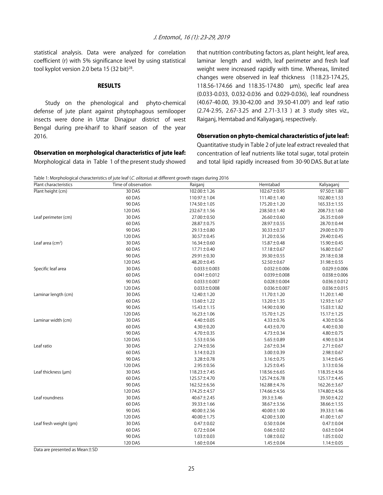statistical analysis. Data were analyzed for correlation coefficient (r) with 5% significance level by using statistical tool kyplot version 2.0 beta 15 (32 bit) $^{28}$ .

#### **RESULTS**

Study on the phenological and phyto-chemical defense of jute plant against phytophagous semilooper insects were done in Uttar Dinajpur district of west Bengal during pre-kharif to kharif season of the year 2016.

that nutrition contributing factors as, plant height, leaf area, laminar length and width, leaf perimeter and fresh leaf weight were increased rapidly with time. Whereas, limited changes were observed in leaf thickness (118.23-174.25, 118.56-174.66 and 118.35-174.80 µm), specific leaf area (0.033-0.033, 0.032-0.036 and 0.029-0.036), leaf roundness (40.67-40.00, 39.30-42.00 and 39.50-41.00<sup>0</sup>) and leaf ratio (2.74-2.95, 2.67-3.25 and 2.71-3.13 ) at 3 study sites viz., Raiganj, Hemtabad and Kaliyaganj, respectively.

#### Observation on phyto-chemical characteristics of jute leaf:

Observation on morphological characteristics of jute leaf: Morphological data in Table 1 of the present study showed

Quantitative study in Table 2 of jute leaf extract revealed that concentration of leaf nutrients like total sugar, total protein and total lipid rapidly increased from 30-90 DAS. But at late

Table 1: Morphological characteristics of jute leaf (C. olitorius) at different growth stages during 2016

| Plant characteristics  | Time of observation | Raiganj           | Hemtabad          | Kaliyaganj        |
|------------------------|---------------------|-------------------|-------------------|-------------------|
| Plant height (cm)      | 30 DAS              | 102.00 ± 1.26     | 102.67±0.95       | 97.50±1.80        |
|                        | 60 DAS              | 110.97 ± 1.04     | 111.40 ± 1.40     | 102.80 ± 1.53     |
|                        | <b>90 DAS</b>       | 174.50 ± 1.05     | $175.20 \pm 1.20$ | $165.33 \pm 1.55$ |
|                        | 120 DAS             | $232.67 \pm 1.56$ | 238.50 ± 1.40     | $208.73 \pm 1.60$ |
| Leaf perimeter (cm)    | 30 DAS              | $27.00 \pm 0.50$  | $26.60 \pm 0.60$  | 26.35±0.69        |
|                        | 60 DAS              | 28.87±0.75        | 28.97±0.55        | 28.70 ± 0.44      |
|                        | 90 DAS              | $29.13 \pm 0.80$  | 30.33±0.37        | 29.00 ± 0.70      |
|                        | 120 DAS             | $30.57 \pm 0.45$  | 31.20±0.56        | 29.40±0.45        |
| Leaf area $(cm2)$      | 30 DAS              | $16.34 \pm 0.60$  | 15.87±0.48        | 15.90±0.45        |
|                        | 60 DAS              | $17.71 \pm 0.40$  | 17.18 ± 0.67      | $16.80 \pm 0.67$  |
|                        | 90 DAS              | 29.91±0.30        | 39.30±0.55        | 29.18±0.38        |
|                        | 120 DAS             | $48.20 \pm 0.45$  | 52.50 ± 0.67      | 31.98±0.55        |
| Specific leaf area     | 30 DAS              | $0.033 \pm 0.003$ | $0.032 \pm 0.006$ | $0.029 \pm 0.006$ |
|                        | 60 DAS              | $0.041 \pm 0.012$ | $0.039 \pm 0.008$ | $0.038 \pm 0.006$ |
|                        | <b>90 DAS</b>       | $0.033 \pm 0.007$ | $0.028 \pm 0.004$ | $0.036 \pm 0.012$ |
|                        | 120 DAS             | $0.033 \pm 0.008$ | $0.036 \pm 0.007$ | $0.036 \pm 0.015$ |
| Laminar length (cm)    | 30 DAS              | $12.40 \pm 1.20$  | $11.70 \pm 1.20$  | $11.20 \pm 1.40$  |
|                        | 60 DAS              | 13.60 ± 1.22      | 13.20±1.35        | 12.93±1.67        |
|                        | 90 DAS              | $15.43 \pm 1.15$  | 14.90±0.90        | $15.03 \pm 1.82$  |
|                        | 120 DAS             | $16.23 \pm 1.06$  | 15.70±1.25        | $15.17 \pm 1.25$  |
| Laminar width (cm)     | 30 DAS              | $4.40 \pm 0.05$   | $4.33 \pm 0.76$   | $4.30 \pm 0.56$   |
|                        | 60 DAS              | $4.30 \pm 0.20$   | $4.43 \pm 0.70$   | $4.40 \pm 0.30$   |
|                        | <b>90 DAS</b>       | $4.70 \pm 0.35$   | $4.73 \pm 0.34$   | $4.80 \pm 0.75$   |
|                        | 120 DAS             | $5.53 \pm 0.56$   | $5.65 \pm 0.89$   | $4.90 \pm 0.34$   |
| Leaf ratio             | 30 DAS              | $2.74 \pm 0.56$   | $2.67 \pm 0.34$   | $2.71 \pm 0.67$   |
|                        | 60 DAS              | $3.14 \pm 0.23$   | $3.00 \pm 0.39$   | $2.98 \pm 0.67$   |
|                        | 90 DAS              | $3.28 \pm 0.78$   | $3.16 \pm 0.75$   | $3.14 \pm 0.45$   |
|                        | 120 DAS             | $2.95 \pm 0.56$   | $3.25 \pm 0.45$   | $3.13 \pm 0.56$   |
| Leaf thickness (µm)    | 30 DAS              | 118.23 ± 7.45     | 118.56±6.65       | 118.35 ±4.56      |
|                        | 60 DAS              | 125.57±4.70       | 125.74±6.78       | 125.17±4.45       |
|                        | 90 DAS              | $162.52 \pm 6.56$ | 162.88±4.76       | 162.26 ± 3.67     |
|                        | 120 DAS             | 174.25 ± 4.57     | 174.66±4.56       | 174.80±4.56       |
| Leaf roundness         | 30 DAS              | $40.67 \pm 2.45$  | $39.3 \pm 3.46$   | 39.50±4.22        |
|                        | 60 DAS              | $39.33 \pm 1.66$  | 38.67±3.56        | 38.66±1.55        |
|                        | 90 DAS              | $40.00 \pm 2.56$  | $40.00 \pm 1.00$  | 39.33±1.46        |
|                        | 120 DAS             | $40.00 \pm 1.75$  | $42.00 \pm 3.00$  | $41.00 \pm 1.67$  |
| Leaf fresh weight (gm) | 30 DAS              | $0.47 \pm 0.02$   | $0.50 \pm 0.04$   | $0.47 + 0.04$     |
|                        | 60 DAS              | $0.72 \pm 0.04$   | $0.66 \pm 0.02$   | $0.63 \pm 0.04$   |
|                        | 90 DAS              | $1.03 \pm 0.03$   | $1.08 + 0.02$     | $1.05 \pm 0.02$   |
|                        | 120 DAS             | $1.60 \pm 0.04$   | $1.45 \pm 0.04$   | $1.14 \pm 0.05$   |

Data are presented as Mean±SD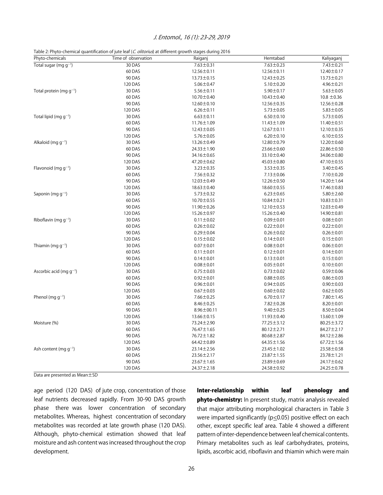#### J. Entomol., 16 (1): 23-29, 2019

Table 2: Phyto-chemical quantification of jute leaf (C. *olitorius*) at different growth stages during 2016

| Phyto-chemicals                     | rable 2.1 hyde enemied quantification or jute fear (e) <i>offering</i> , at unificially growth stages admig 2018<br>Time of observation | Raiganj          | Hemtabad         | Kaliyaganj       |
|-------------------------------------|-----------------------------------------------------------------------------------------------------------------------------------------|------------------|------------------|------------------|
| Total sugar (mg $g^{-1}$ )          | 30 DAS                                                                                                                                  | $7.63 \pm 0.31$  | $7.63 \pm 0.23$  | $7.43 \pm 0.21$  |
|                                     | 60 DAS                                                                                                                                  | 12.56±0.11       | 12.56±0.11       | 12.40±0.17       |
|                                     | 90 DAS                                                                                                                                  | 13.73±0.15       | 12.43±0.25       | 13.73±0.21       |
|                                     | 120 DAS                                                                                                                                 | $5.06 \pm 0.47$  | $5.10 \pm 0.20$  | $4.96 \pm 0.21$  |
| Total protein (mg $q^{-1}$ )        | 30 DAS                                                                                                                                  | $5.56 \pm 0.11$  | $5.90 \pm 0.17$  | $5.63 \pm 0.05$  |
|                                     | 60 DAS                                                                                                                                  | $10.70 \pm 0.40$ | $10.43 \pm 0.40$ | $10.8 \pm 0.36$  |
|                                     | 90 DAS                                                                                                                                  | 12.60±0.10       | 12.56±0.35       | 12.56±0.28       |
|                                     | 120 DAS                                                                                                                                 | $6.26 \pm 0.11$  | $5.73 \pm 0.05$  | $5.83 \pm 0.05$  |
| Total lipid (mg $q^{-1}$ )          | 30 DAS                                                                                                                                  | $6.63 \pm 0.11$  | $6.50 \pm 0.10$  | $5.73 \pm 0.05$  |
|                                     | 60 DAS                                                                                                                                  | $11.76 \pm 1.09$ | $11.43 \pm 1.09$ | 11.40±0.51       |
|                                     | 90 DAS                                                                                                                                  | $12.43 \pm 0.05$ | 12.67±0.11       | 12.10±0.35       |
|                                     | 120 DAS                                                                                                                                 | $5.76 \pm 0.05$  | $6.20 \pm 0.10$  | $6.10 \pm 0.55$  |
| Alkaloid (mg $q^{-1}$ )             | 30 DAS                                                                                                                                  | $13.26 \pm 0.49$ | 12.80±0.79       | 12.20±0.60       |
|                                     | 60 DAS                                                                                                                                  | $24.33 \pm 1.90$ | $23.66 \pm 0.60$ | 22.86±0.50       |
|                                     | 90 DAS                                                                                                                                  | 34.16±0.65       | 33.10±0.40       | 34.06±0.80       |
|                                     | 120 DAS                                                                                                                                 | 47.20 ± 0.62     | 45.03±0.80       | 47.10±0.55       |
| Flavonoid (mg $q^{-1}$ )            | 30 DAS                                                                                                                                  | $3.23 \pm 0.35$  | $3.53 \pm 0.35$  | $3.40 \pm 0.45$  |
|                                     | 60 DAS                                                                                                                                  | $7.56 \pm 0.32$  | $7.13 \pm 0.06$  | $7.10 \pm 0.20$  |
|                                     | 90 DAS                                                                                                                                  | $12.03 \pm 0.49$ | $12.26 \pm 0.50$ | 14.20 ± 1.64     |
|                                     | 120 DAS                                                                                                                                 | $18.63 \pm 0.40$ | $18.60 \pm 0.55$ | 17.46±0.83       |
| Saponin (mg $g^{-1}$ )              | 30 DAS                                                                                                                                  | $5.73 \pm 0.32$  | $6.23 \pm 0.65$  | $5.80 \pm 2.60$  |
|                                     | 60 DAS                                                                                                                                  | 10.70±0.55       | $10.84 \pm 0.21$ | $10.83 \pm 0.31$ |
|                                     | 90 DAS                                                                                                                                  | $11.90 \pm 0.26$ | $12.10 \pm 0.53$ | 12.03 ± 0.49     |
|                                     | 120 DAS                                                                                                                                 | 15.26 ± 0.97     | 15.26±0.40       | 14.90±0.81       |
| Riboflavin (mg $q^{-1}$ )           | 30 DAS                                                                                                                                  | $0.11 \pm 0.02$  | $0.09 \pm 0.01$  | $0.08 \pm 0.01$  |
|                                     | 60 DAS                                                                                                                                  | $0.26 \pm 0.02$  | $0.22 \pm 0.01$  | $0.22 \pm 0.01$  |
|                                     | 90 DAS                                                                                                                                  | $0.29 \pm 0.04$  | $0.26 \pm 0.02$  | $0.26 \pm 0.01$  |
|                                     | 120 DAS                                                                                                                                 | $0.15 \pm 0.02$  | $0.14 \pm 0.01$  | $0.15 \pm 0.01$  |
| Thiamin (mg $q^{-1}$ )              | 30 DAS                                                                                                                                  | $0.07 + 0.01$    | $0.08 \pm 0.01$  | $0.06 \pm 0.01$  |
|                                     | 60 DAS                                                                                                                                  | $0.11 \pm 0.01$  | $0.12 \pm 0.01$  | $0.14 \pm 0.01$  |
|                                     | 90 DAS                                                                                                                                  | $0.14 \pm 0.01$  | $0.13 \pm 0.01$  | $0.15 \pm 0.01$  |
|                                     | 120 DAS                                                                                                                                 | $0.08 \pm 0.01$  | $0.05 \pm 0.01$  | $0.10 + 0.01$    |
| Ascorbic acid (mg g <sup>-1</sup> ) | 30 DAS                                                                                                                                  | $0.75 \pm 0.03$  | $0.73 \pm 0.02$  | $0.59 + 0.06$    |
|                                     | 60 DAS                                                                                                                                  | $0.92 \pm 0.01$  | $0.88 + 0.05$    | $0.86 \pm 0.03$  |
|                                     | 90 DAS                                                                                                                                  | $0.96 \pm 0.01$  | $0.94 \pm 0.05$  | $0.90 \pm 0.03$  |
|                                     | 120 DAS                                                                                                                                 | $0.67 \pm 0.03$  | $0.60 \pm 0.02$  | $0.62 \pm 0.05$  |
| Phenol (mg $g^{-1}$ )               | 30 DAS                                                                                                                                  | $7.66 \pm 0.25$  | $6.70 \pm 0.17$  | $7.80 \pm 1.45$  |
|                                     | 60 DAS                                                                                                                                  | $8.46 \pm 0.25$  | $7.82 \pm 0.28$  | $8.20 \pm 0.01$  |
|                                     | 90 DAS                                                                                                                                  | $8.96 \pm 00.11$ | $9.40 \pm 0.25$  | $8.50 \pm 0.04$  |
|                                     | 120 DAS                                                                                                                                 | $13.66 \pm 0.15$ | 11.93±0.40       | 13.60 ± 1.09     |
| Moisture (%)                        | 30 DAS                                                                                                                                  | 73.24 ± 2.90     | $77.25 \pm 3.12$ | 80.25±3.72       |
|                                     | 60 DAS                                                                                                                                  | $76.47 \pm 1.65$ | $80.12 \pm 2.71$ | 84.27±2.17       |
|                                     | 90 DAS                                                                                                                                  | 76.72 ± 1.82     | $80.68 \pm 2.87$ | 84.12±2.86       |
|                                     | 120 DAS                                                                                                                                 | $64.42 \pm 0.89$ | $64.35 \pm 1.56$ | 67.72±1.56       |
| Ash content (mg $q^{-1}$ )          | 30 DAS                                                                                                                                  | 23.14 ± 2.56     | $23.45 \pm 1.02$ | 23.58±0.58       |
|                                     | 60 DAS                                                                                                                                  | $23.56 \pm 2.17$ | 23.87±1.55       | 23.78±1.21       |
|                                     | 90 DAS                                                                                                                                  | $23.67 \pm 1.65$ | 23.89±0.69       | 24.17±0.62       |
|                                     | 120 DAS                                                                                                                                 | 24.37±2.18       | 24.58±0.92       | 24.25±0.78       |

Data are presented as Mean±SD

age period (120 DAS) of jute crop, concentration of those leaf nutrients decreased rapidly. From 30-90 DAS growth phase there was lower concentration of secondary metabolites. Whereas, highest concentration of secondary metabolites was recorded at late growth phase (120 DAS). Although, phyto-chemical estimation showed that leaf moisture and ash content was increased throughout the crop development.

Inter-relationship within leaf phenology and phyto-chemistry: In present study, matrix analysis revealed that major attributing morphological characters in Table 3 were imparted significantly ( $p \le 0.05$ ) positive effect on each other, except specific leaf area. Table 4 showed a different pattern of inter-dependence between leaf chemical contents. Primary metabolites such as leaf carbohydrates, proteins, lipids, ascorbic acid, riboflavin and thiamin which were main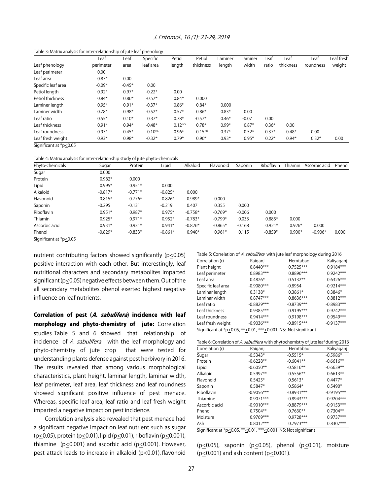#### J. Entomol., 16 (1): 23-29, 2019

Table 3: Matrix analysis for inter-relationship of jute leaf phenology

|                    | Leaf      | Leaf     | Specific     | Petiol             | Petiol             | Laminer | Laminer | Leaf     | Leaf      | Leaf      | Leaf fresh |
|--------------------|-----------|----------|--------------|--------------------|--------------------|---------|---------|----------|-----------|-----------|------------|
| Leaf phenology     | perimeter | area     | leaf area    | length             | thickness          | length  | width   | ratio    | thickness | roundness | weight     |
| Leaf perimeter     | 0.00      |          |              |                    |                    |         |         |          |           |           |            |
| Leaf area          | $0.87*$   | 0.00     |              |                    |                    |         |         |          |           |           |            |
| Specific leaf area | $-0.09*$  | $-0.45*$ | 0.00         |                    |                    |         |         |          |           |           |            |
| Petiol length      | $0.92*$   | $0.97*$  | $-0.22*$     | 0.00               |                    |         |         |          |           |           |            |
| Petiol thickness   | $0.84*$   | $0.86*$  | $-0.57*$     | $0.84*$            | 0.000              |         |         |          |           |           |            |
| Laminer length     | $0.95*$   | $0.91*$  | $-0.37*$     | $0.86*$            | $0.84*$            | 0.000   |         |          |           |           |            |
| Laminer width      | $0.78*$   | $0.98*$  | $-0.52*$     | $0.57*$            | $0.86*$            | $0.83*$ | 0.00    |          |           |           |            |
| Leaf ratio         | $0.55*$   | $0.10*$  | $0.37*$      | $0.78*$            | $-0.57*$           | $0.46*$ | $-0.07$ | 0.00     |           |           |            |
| Leaf thickness     | $0.91*$   | $0.94*$  | $-0.48*$     | 0.12 <sup>NS</sup> | $0.78*$            | $0.99*$ | $0.87*$ | $0.36*$  | 0.00      |           |            |
| Leaf roundness     | $0.97*$   | $0.45*$  | $-0.10^{NS}$ | $0.96*$            | 0.15 <sup>NS</sup> | $0.37*$ | $0.52*$ | $-0.37*$ | $0.48*$   | 0.00      |            |
| Leaf fresh weight  | $0.93*$   | $0.98*$  | $-0.32*$     | $0.79*$            | $0.96*$            | $0.93*$ | $0.95*$ | $0.22*$  | $0.94*$   | $0.32*$   | 0.00       |

Significant at \*p<0.05

#### Table 4: Matrix analysis for inter-relationship study of jute phyto-chemicals

| Phyto-chemicals | Sugar     | Protein   | Lipid     | Alkaloid  | Flavonoid | Saponin  | Riboflavin | Thiamin  | Ascorbic acid | Phenol |
|-----------------|-----------|-----------|-----------|-----------|-----------|----------|------------|----------|---------------|--------|
| Sugar           | 0.000     |           |           |           |           |          |            |          |               |        |
| Protein         | $0.982*$  | 0.000     |           |           |           |          |            |          |               |        |
| Lipid           | $0.995*$  | $0.951*$  | 0.000     |           |           |          |            |          |               |        |
| Alkaloid        | $-0.817*$ | $-0.771*$ | $-0.825*$ | 0.000     |           |          |            |          |               |        |
| Flavonoid       | $-0.815*$ | $-0.776*$ | $-0.826*$ | $0.989*$  | 0.000     |          |            |          |               |        |
| Saponin         | $-0.295$  | $-0.131$  | $-0.219$  | 0.407     | 0.355     | 0.000    |            |          |               |        |
| Riboflavin      | $0.951*$  | $0.987*$  | $0.975*$  | $-0.758*$ | $-0.769*$ | $-0.006$ | 0.000      |          |               |        |
| Thiamin         | $0.925*$  | $0.971*$  | $0.952*$  | $-0.783*$ | $-0.799*$ | 0.033    | $0.885*$   | 0.000    |               |        |
| Ascorbic acid   | $0.931*$  | $0.931*$  | $0.941*$  | $-0.826*$ | $-0.865*$ | $-0.168$ | $0.921*$   | $0.926*$ | 0.000         |        |
| Phenol          | $-0.829*$ | $-0.833*$ | $-0.861*$ | $0.940*$  | $0.961*$  | 0.115    | $-0.859*$  | $0.900*$ | $-0.906*$     | 0.000  |

Significant at \*p<0.05

nutrient contributing factors showed significantly (p<0.05) positive interaction with each other. But interestingly, leaf nutritional characters and secondary metabolites imparted significant ( $p \le 0.05$ ) negative effects between them. Out of the all secondary metabolites phenol exerted highest negative influence on leaf nutrients.

Correlation of pest (A. sabulifera) incidence with leaf morphology and phyto-chemistry of jute: Correlation studies Table 5 and 6 showed that relationship of incidence of A. sabulifera with the leaf morphology and phyto-chemistry of jute crop that were tested for understanding plants defense against pest herbivory in 2016. The results revealed that among various morphological characteristics, plant height, laminar length, laminar width, leaf perimeter, leaf area, leaf thickness and leaf roundness showed significant positive influence of pest menace. Whereas, specific leaf area, leaf ratio and leaf fresh weight imparted a negative impact on pest incidence.

Correlation analysis also revealed that pest menace had a significant negative impact on leaf nutrient such as sugar (p<0.05), protein (p<0.01), lipid (p<0.01), riboflavin (p<0.001), thiamine (p<0.001) and ascorbic acid (p<0.001). However, pest attack leads to increase in alkaloid (p<0.01), flavonoid Table 5: Correlation of A. sabulifera with jute leaf morphology during 2016

| Correlation (r)                                                 | Raiganj      | Hemtabad     | Kaliyaganj   |  |  |  |  |
|-----------------------------------------------------------------|--------------|--------------|--------------|--|--|--|--|
| Plant height                                                    | $0.8440***$  | $0.7525***$  | $0.9184***$  |  |  |  |  |
| Leaf perimeter                                                  | $0.8983***$  | 0.8896***    | $0.9242***$  |  |  |  |  |
| Leaf area                                                       | $0.4826*$    | $0.5132**$   | $0.6326***$  |  |  |  |  |
| Specific leaf area                                              | $-0.9080***$ | $-0.8954$    | $-0.9214***$ |  |  |  |  |
| Laminar length                                                  | $0.3138*$    | $0.3861*$    | $0.3846*$    |  |  |  |  |
| Laminar width                                                   | $0.8747***$  | $0.8636***$  | $0.8812***$  |  |  |  |  |
| Leaf ratio                                                      | $-0.8829***$ | $-0.8739***$ | $-0.8983***$ |  |  |  |  |
| Leaf thickness                                                  | 0.9385***    | $0.9195***$  | $0.9742***$  |  |  |  |  |
| Leaf roundness                                                  | $0.9414***$  | $0.9198***$  | $0.9549***$  |  |  |  |  |
| Leaf fresh weight                                               | $-0.9036***$ | $-0.8915***$ | $-0.9137***$ |  |  |  |  |
| Significant at *p<0.05, **<0.01, ***<0.001, NS: Not significant |              |              |              |  |  |  |  |

| Raiganj      | Hemtabad     | Kaliyaganj                                                                                                                                   |
|--------------|--------------|----------------------------------------------------------------------------------------------------------------------------------------------|
| $-0.5343*$   | $-0.5515*$   | $-0.5986*$                                                                                                                                   |
| $-0.6228**$  | $-0.6041**$  | $-0.6616**$                                                                                                                                  |
| $-0.6050**$  | $-0.5816**$  | $-0.6639**$                                                                                                                                  |
| $0.5997**$   | $0.5556**$   | $0.6613**$                                                                                                                                   |
| $0.5425*$    | $0.5613*$    | $0.4477*$                                                                                                                                    |
| $0.5847*$    | $0.5864*$    | $0.5490*$                                                                                                                                    |
| $-0.9056***$ | $-0.8931***$ | $-0.9195***$                                                                                                                                 |
| $-0.9071***$ | $-0.8943***$ | $-0.9204***$                                                                                                                                 |
| $-0.9010***$ | $-0.8879***$ | $-0.9153***$                                                                                                                                 |
| $0.7504**$   | $0.7630**$   | $0.7304**$                                                                                                                                   |
| $0.9769***$  | $0.9728***$  | $0.9737***$                                                                                                                                  |
| $0.8012***$  | $0.7973***$  | $0.8307***$                                                                                                                                  |
|              |              | $\mathcal{L}$ . $\mathcal{L}$ . $\mathcal{L}$ . And $\mathcal{L}$ and $\mathcal{L}$ and $\mathcal{L}$ and $\mathcal{L}$ . Then $\mathcal{L}$ |

Significant at \*p<0.05, \*\* <0.01, \*\*\* <0.001, NS: Not significant

( $p \le 0.05$ ), saponin ( $p \le 0.05$ ), phenol ( $p \le 0.01$ ), moisture ( $p \le 0.001$ ) and ash content ( $p \le 0.001$ ).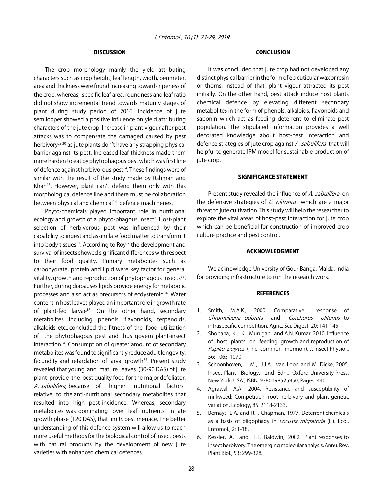#### **DISCUSSION**

The crop morphology mainly the yield attributing characters such as crop height, leaf length, width, perimeter, area and thickness were found increasing towards ripeness of the crop, whereas, specific leaf area, roundness and leaf ratio did not show incremental trend towards maturity stages of plant during study period of 2016. Incidence of jute semilooper showed a positive influence on yield attributing characters of the jute crop. Increase in plant vigour after pest attacks was to compensate the damaged caused by pest herbivory29,30 as jute plants don't have any strapping physical barrier against its pest. Increased leaf thickness made them more harden to eat by phytophagous pest which was first line of defence against herbivorous pest<sup>14</sup>. These findings were of similar with the result of the study made by Rahman and Khan<sup>18</sup>. However, plant can't defend them only with this morphological defence line and there must be collaboration between physical and chemical<sup>14</sup> defence machineries.

Phyto-chemicals played important role in nutritional ecology and growth of a phyto-phagous insect<sup>3</sup>. Host-plant selection of herbivorous pest was influenced by their capability to ingest and assimilate food matter to transform it into body tissues $31$ . According to Roy $32$  the development and survival of insects showed significant differences with respect to their food quality. Primary metabolites such as carbohydrate, protein and lipid were key factor for general vitality, growth and reproduction of phytophagous insects $33$ . Further, during diapauses lipids provide energy for metabolic processes and also act as precursors of ecdysteroid<sup>34</sup>. Water content in host leaves played an important role in growth rate of plant-fed larvae<sup>18</sup>. On the other hand, secondary metabolites including phenols, flavonoids, terpenoids, alkaloids, etc., concluded the fitness of the food utilization of the phytophagous pest and thus govern plant-insect interaction<sup>14</sup>. Consumption of greater amount of secondary metabolites was found to significantly reduce adult longevity, fecundity and retardation of larval growth<sup>35</sup>. Present study revealed that young and mature leaves (30-90 DAS) of jute plant provide the best quality food for the major defoliator, A. sabulifera, because of higher nutritional factors relative to the anti-nutritional secondary metabolites that resulted into high pest incidence. Whereas, secondary metabolites was dominating over leaf nutrients in late growth phase (120 DAS), that limits pest menace. The better understanding of this defence system will allow us to reach more useful methods for the biological control of insect pests with natural products by the development of new jute varieties with enhanced chemical defences.

#### CONCLUSION

It was concluded that jute crop had not developed any distinct physical barrier in the form of epicuticular wax or resin or thorns. Instead of that, plant vigour attracted its pest initially. On the other hand, pest attack induce host plants chemical defence by elevating different secondary metabolites in the form of phenols, alkaloids, flavonoids and saponin which act as feeding deterrent to eliminate pest population. The stipulated information provides a well decorated knowledge about host-pest interaction and defence strategies of jute crop against A. sabulifera that will helpful to generate IPM model for sustainable production of jute crop.

#### SIGNIFICANCE STATEMENT

Present study revealed the influence of A. sabulifera on the defensive strategies of C. olitorius which are a major threat to jute cultivation. This study will help the researcher to explore the vital areas of host-pest interaction for jute crop which can be beneficial for construction of improved crop culture practice and pest control.

#### ACKNOWLEDGMENT

We acknowledge University of Gour Banga, Malda, India for providing infrastructure to run the research work.

#### **REFERENCES**

- 1. Smith, M.A.K., 2000. Comparative response of Chromolaena odorata and Corchorus olitorius to intraspecific competition. Agric. Sci. Digest, 20: 141-145.
- 2. Shobana, K., K. Murugan and A.N. Kumar, 2010. Influence of host plants on feeding, growth and reproduction of Papilio polytes (The common mormon). J. Insect Physiol., 56: 1065-1070.
- 3. Schoonhoven, L.M., J.J.A. van Loon and M. Dicke, 2005. Insect-Plant Biology. 2nd Edn., Oxford University Press, New York, USA., ISBN: 9780198525950, Pages: 440.
- 4. Agrawal, A.A., 2004. Resistance and susceptibility of milkweed: Competition, root herbivory and plant genetic variation. Ecology, 85: 2118-2133.
- 5. Bernays, E.A. and R.F. Chapman, 1977. Deterrent chemicals as a basis of oligophagy in *Locusta migratoria* (L.). Ecol. Entomol., 2: 1-18.
- 6. Kessler, A. and I.T. Baldwin, 2002. Plant responses to insect herbivory: The emerging molecular analysis. Annu. Rev. Plant Biol., 53: 299-328.